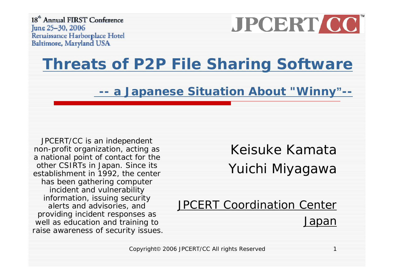18<sup>th</sup> Annual FIRST Conference June 25–30, 2006 Renaissance Harborplace Hotel Baltimore, Maryland USA



#### **[Threats of P2P File Sharing Software](http://www.first.org/conference/2006/program/threats_of_p2p_file_sharing_software_-_a_japanese_situation_about__winny_.html)**

**-[a Japanese Situation About "Winny](http://www.first.org/conference/2006/program/threats_of_p2p_file_sharing_software_-_a_japanese_situation_about__winny_.html)"--**

JPCERT/CC is an independent non-profit organization, acting as a national point of contact for the other CSIRTs in Japan. Since its establishment in 1992, the center has been gathering computer incident and vulnerability information, issuing security alerts and advisories, and providing incident responses as well as education and training to raise awareness of security issues.

Keisuke KamataYuichi Miyagawa

JPCERT Coordination Center Japan

Copyright© 2006 JPCERT/CC All rights Reserved 1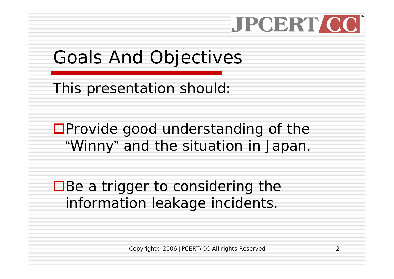### Goals And Objectives

This presentation should:

 $\square$ Provide good understanding of the "Winny" and the situation in Japan.

 $\Box$  Be a trigger to considering the information leakage incidents.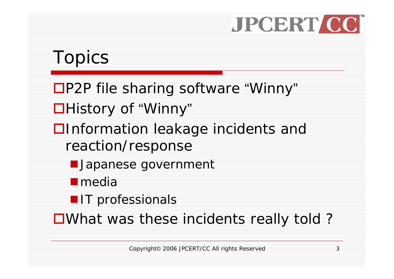### Topics

- ■P2P file sharing software "Winny"
- ■History of "Winny"
- **□**Information leakage incidents and reaction/response
	- **Japanese government**
	- **I** media
	- **IT** professionals

■What was these incidents really told?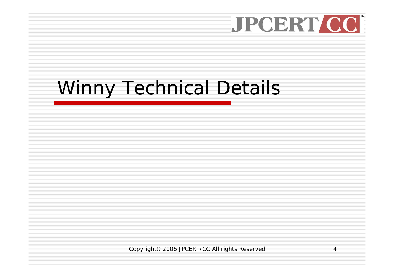### Winny Technical Details

Copyright© 2006 JPCERT/CC All rights Reserved 4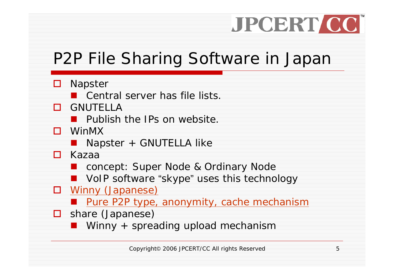#### P2P File Sharing Software in Japan

#### **□** Napster

**E** Central server has file lists.

#### **O** GNUTELLA

- **Publish the IPs on website.**
- WinMX
	- **Napster + GNUTELLA like**
- Kazaa
	- concept: Super Node & Ordinary Node
	- $\mathcal{L}(\mathcal{L})$  and  $\mathcal{L}(\mathcal{L})$  and  $\mathcal{L}(\mathcal{L})$ VoIP software "skype" uses this technology
- **D** Winny (Japanese)
	- Pure P2P type, anonymity, cache mechanism
- □ share (Japanese)
	- Winny + spreading upload mechanism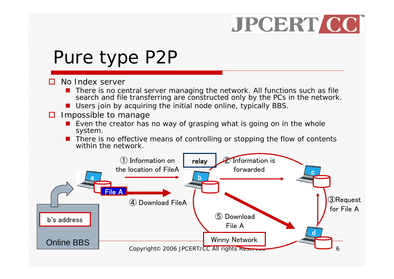### Pure type P2P

#### п. No Index server

- **There is no central server managing the network. All functions such as file** search and file transferring are constructed only by the PCs in the network.
- **Users join by acquiring the initial node online, typically BBS.**

#### **□** Impossible to manage

- **E** Even the creator has no way of grasping what is going on in the whole system.
- **There is no effective means of controlling or stopping the flow of contents** within the network.

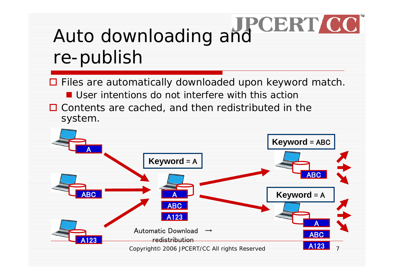# Auto downloading and CERT CC re-publish

□ Files are automatically downloaded upon keyword match. **U** User intentions do not interfere with this action  $\Box$  Contents are cached, and then redistributed in the system.

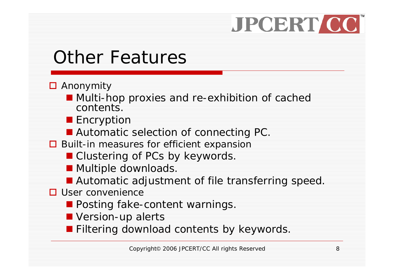### Other Features

- **□** Anonymity
	- **Multi-hop proxies and re-exhibition of cached** contents.
	- Encryption
	- **Automatic selection of connecting PC.**
- **□** Built-in measures for efficient expansion
	- Clustering of PCs by keywords.
	- **Multiple downloads.**
	- **Automatic adjustment of file transferring speed.**
- $\square$  User convenience
	- **Posting fake-content warnings.**
	- **N** Version-up alerts

**Filtering download contents by keywords.**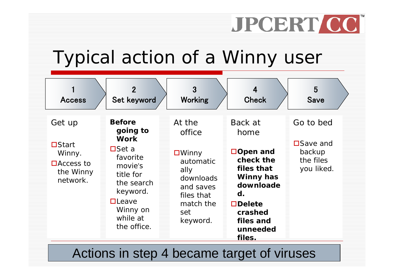### Typical action of a Winny user

| <b>Access</b>                                                                 | $\overline{2}$<br>Set keyword                                                                                                                                                    | 3<br><b>Working</b>                                                                                                              | 4<br><b>Check</b>                                                                                                                                             | 5<br><b>Save</b>                                                   |
|-------------------------------------------------------------------------------|----------------------------------------------------------------------------------------------------------------------------------------------------------------------------------|----------------------------------------------------------------------------------------------------------------------------------|---------------------------------------------------------------------------------------------------------------------------------------------------------------|--------------------------------------------------------------------|
| Get up<br>$\Box$ Start<br>Winny.<br>$\Box$ Access to<br>the Winny<br>network. | <b>Before</b><br>going to<br><b>Work</b><br>$\square$ Set a<br>favorite<br>movie's<br>title for<br>the search<br>keyword.<br>$\Box$ Leave<br>Winny on<br>while at<br>the office. | At the<br>office<br>$\square$ Winny<br>automatic<br>ally<br>downloads<br>and saves<br>files that<br>match the<br>set<br>keyword. | Back at<br>home<br>□Open and<br>check the<br>files that<br><b>Winny has</b><br>downloade<br>d.<br>$\Box$ Delete<br>crashed<br>files and<br>unneeded<br>files. | Go to bed<br><b>□Save and</b><br>backup<br>the files<br>you liked. |

Actions in step 4 became target of viruses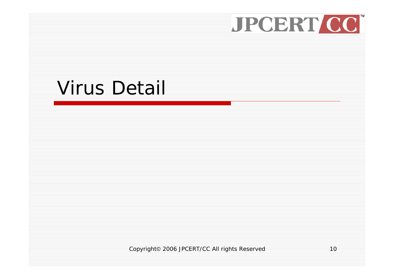### Virus Detail

Copyright© 2006 JPCERT/CC All rights Reserved 10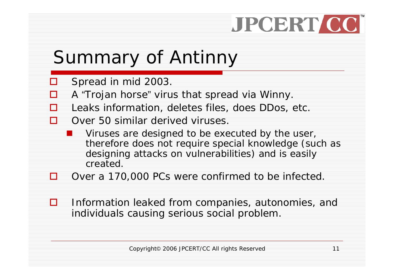### Summary of Antinny

- $\Box$ Spread in mid 2003.
- П A "Trojan horse" virus that spread via Winny.
- П Leaks information, deletes files, does DDos, etc.
- П Over 50 similar derived viruses.
	- Viruses are designed to be executed by the user, therefore does not require special knowledge (such as designing attacks on vulnerabilities) and is easily created.
- П Over a 170,000 PCs were confirmed to be infected.
- П Information leaked from companies, autonomies, and individuals causing serious social problem.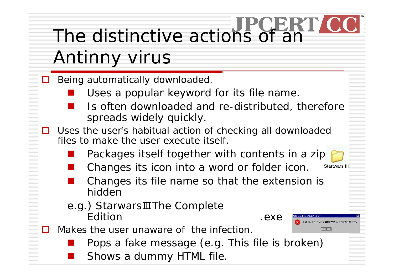# The distinctive actions of an Antinny virus

Being automatically downloaded.

 $\Box$ 

 $\Box$ 

 $\mathbf{L}$ 

- an<br>M Uses a popular keyword for its file name.
- Is often downloaded and re-distributed, therefore spreads widely quickly.
- Uses the user's habitual action of checking all downloaded files to make the user execute itself.
	- an<br>M Packages itself together with contents in a zip
	- Changes its icon into a word or folder icon.
- Startwars III
- Changes its file name so that the extension is hidden
- e.g.) StarwarsⅢThe Complete Edition .exe

ip 形式) フォルダは無効であるか、または壊れています  $\sqrt{CK}$ 

Makes the user unaware of the infection.

- Pops a fake message (e.g. This file is broken)
- Shows a dummy HTML file.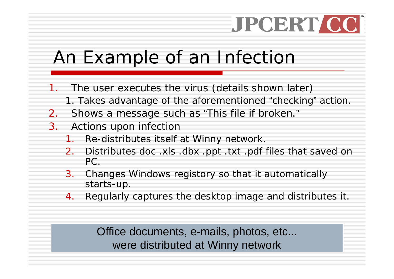### An Example of an Infection

- 1. The user executes the virus (details shown later)
	- 1. Takes advantage of the aforementioned "checking" action.
- 2.Shows a message such as "This file if broken."
- 3. Actions upon infection
	- 1. Re-distributes itself at Winny network.
	- 2. Distributes doc .xls .dbx .ppt .txt .pdf files that saved on PC.
	- 3. Changes Windows registory so that it automatically starts-up.
	- 4.Regularly captures the desktop image and distributes it.

were distributed at Winny network Office documents, e-mails, photos, etc...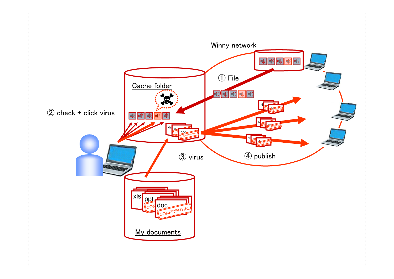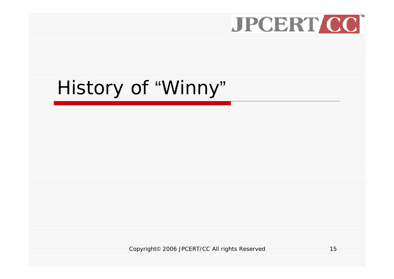# History of "Winny"

Copyright© 2006 JPCERT/CC All rights Reserved 15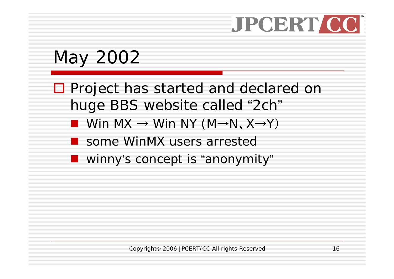### May 2002

- □ Project has started and declared on huge BBS website called "2ch"
	- Win MX  $\rightarrow$  Win NY (M $\rightarrow$ N、X $\rightarrow$ Y)
	- some WinMX users arrested
	- **Now winny's concept is "anonymity"**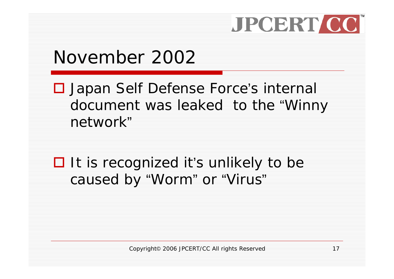### November 2002

**□ Japan Self Defense Force's internal** document was leaked to the "Winny network"

**□** It is recognized it's unlikely to be caused by "Worm" or "Virus"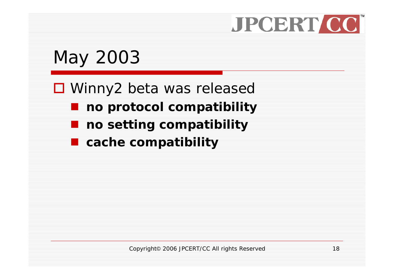### May 2003

#### ■ Winny2 beta was released

- **no protocol compatibility**
- **no setting compatibility**
- **cache compatibility**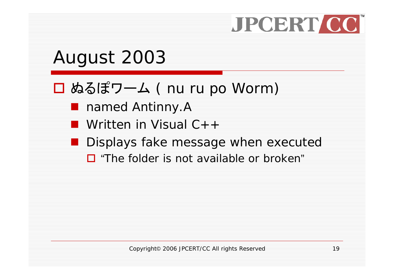### August 2003

#### ぬるぽワーム ( nu ru po Worm)

- named Antinny.A
- Written in Visual C++
- **Displays fake message when executed** 
	- □ "The folder is not available or broken"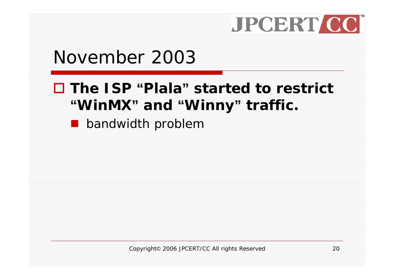#### November 2003

#### **The ISP "Plala" started to restrict "WinMX" and "Winny" traffic.**

**D** bandwidth problem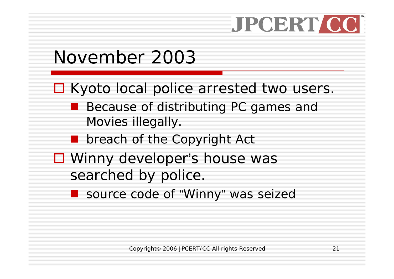### November 2003

□ Kyoto local police arrested two users.

- Because of distributing PC games and Movies illegally.
- **Deach of the Copyright Act**
- Winny developer's house was searched by police.
	- source code of "Winny" was seized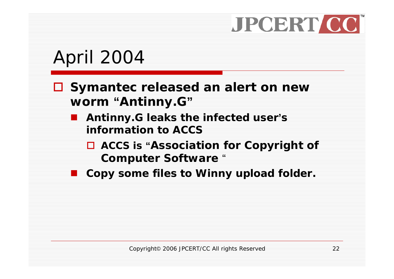### April 2004

#### **Symantec released an alert on new worm "Antinny.G"**

- **Antinny.G leaks the infected user'<sup>s</sup> information to ACCS**
	- $\Box$  **ACCS is "Association for Copyright of Computer Software** "
- $\mathbb{R}^3$ **Copy some files to Winny upload folder.**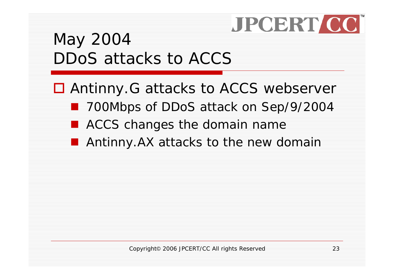#### May 2004 DDoS attacks to ACCS

■ Antinny. G attacks to ACCS webserver

- 700Mbps of DDoS attack on Sep/9/2004
- ACCS changes the domain name
- Antinny.AX attacks to the new domain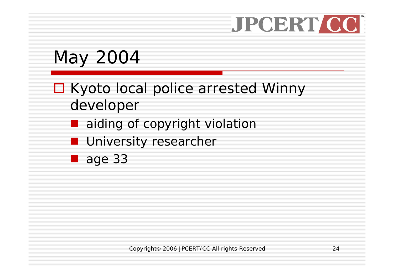### May 2004

#### □ Kyoto local police arrested Winny developer

- aiding of copyright violation
- **University researcher**
- **age 33**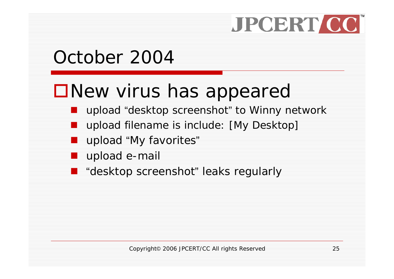### October 2004

### New virus has appeared

- an<br>M upload "desktop screenshot" to Winny network
- $\mathbb{R}^2$ upload filename is include: [My Desktop]
- an<br>M upload "My favorites"
- an<br>M upload e-mail
- an<br>M "desktop screenshot" leaks regularly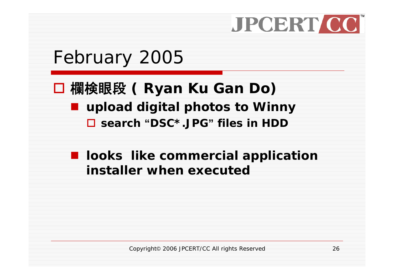

#### February 2005

#### 欄検眼段 **( Ryan Ku Gan Do) upload digital photos to Winny**

**search "DSC\*.JPG" files in HDD**

#### $\blacksquare$  looks like commercial application **installer when executed**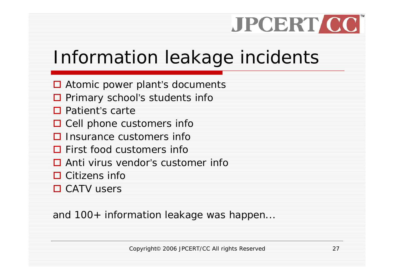### Information leakage incidents

- **□** Atomic power plant's documents
- □ Primary school's students info
- **□** Patient's carte
- $\square$  Cell phone customers info
- $\square$  Insurance customers info
- $\Box$  First food customers info
- **□** Anti virus vendor's customer info
- **□** Citizens info
- **□ CATV users**

and 100+ information leakage was happen...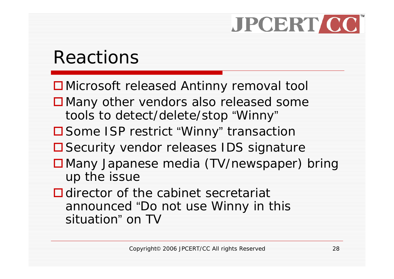### Reactions

- ■Microsoft released Antinny removal tool
- ■Many other vendors also released some tools to detect/delete/stop "Winny"
- **□ Some ISP restrict "Winny" transaction**
- **□ Security vendor releases IDS signature**
- ■Many Japanese media (TV/newspaper) bring up the issue
- $\Box$  director of the cabinet secretariat announced "Do not use Winny in this situation" on TV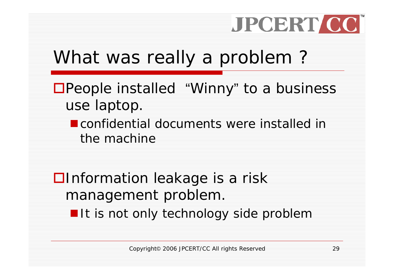### What was really a problem ?

- People installed "Winny" to a business use laptop.
	- **Example Confidential documents were installed in** the machine

 $\square$  Information leakage is a risk management problem. **If it is not only technology side problem**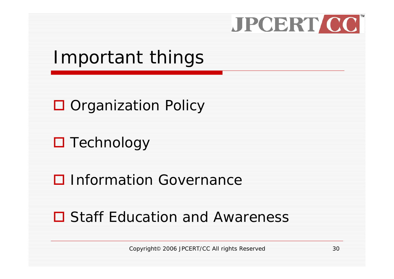

### Important things

#### **□** Organization Policy

#### **□** Technology

#### **□ Information Governance**

#### **□ Staff Education and Awareness**

Copyright© 2006 JPCERT/CC All rights Reserved 30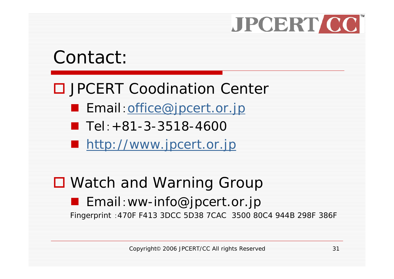#### Contact:

#### □ JPCERT Coodination Center

- Email: [office@jpcert.or.jp](mailto:office@jpcert.or.jp)
- $\blacksquare$  Tel:  $+81-3-3518-4600$
- **[http://www.jpcert.or.jp](http://www.jpcert.or.jp/)**

#### ■ Watch and Warning Group

#### **Email:ww-info@jpcert.or.jp** Fingerprint :470F F413 3DCC 5D38 7CAC 3500 80C4 944B 298F 386F